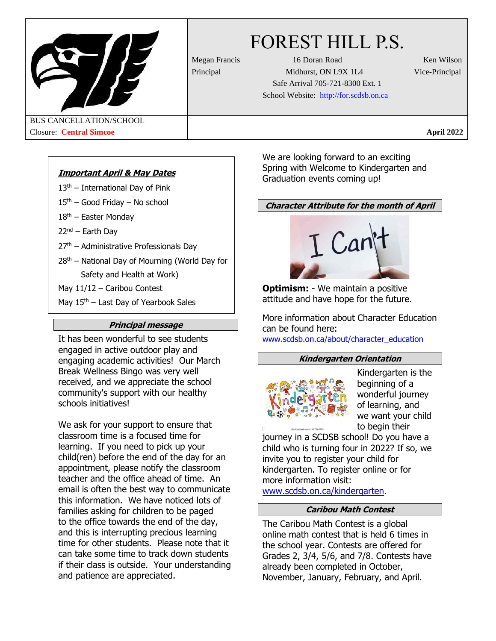

# FOREST HILL P.S.

Megan Francis 16 Doran Road Ken Wilson Principal Midhurst, ON L9X 1L4 Vice-Principal Safe Arrival 705-721-8300 Ext. 1 School Website: [http://for.scdsb.on.ca](http://for.scdsb.on.ca/)

BUS CANCELLATION/SCHOOL Closure: **Central Simcoe April 2022**

# **Important April & May Dates**

- $13<sup>th</sup>$  International Day of Pink
- $15<sup>th</sup>$  Good Friday No school
- $18<sup>th</sup>$  Easter Monday
- 22nd Earth Day
- 27th Administrative Professionals Day
- $28<sup>th</sup>$  National Day of Mourning (World Day for Safety and Health at Work)
- May 11/12 Caribou Contest
- May  $15<sup>th</sup>$  Last Day of Yearbook Sales

# **Principal message**

It has been wonderful to see students engaged in active outdoor play and engaging academic activities! Our March Break Wellness Bingo was very well received, and we appreciate the school community's support with our healthy schools initiatives!

We ask for your support to ensure that classroom time is a focused time for learning. If you need to pick up your child(ren) before the end of the day for an appointment, please notify the classroom teacher and the office ahead of time. An email is often the best way to communicate this information. We have noticed lots of families asking for children to be paged to the office towards the end of the day, and this is interrupting precious learning time for other students. Please note that it can take some time to track down students if their class is outside. Your understanding and patience are appreciated.

We are looking forward to an exciting Spring with Welcome to Kindergarten and Graduation events coming up!

# **Character Attribute for the month of April**



**Optimism:** - We maintain a positive attitude and have hope for the future.

More information about Character Education can be found here: [www.scdsb.on.ca/about/character\\_education](http://www.scdsb.on.ca/about/character_education)

## **Kindergarten Orientation**



Kindergarten is the beginning of a wonderful journey of learning, and we want your child to begin their

journey in a SCDSB school! Do you have a child who is turning four in 2022? If so, we invite you to register your child for kindergarten. To register online or for more information visit: [www.scdsb.on.ca/kindergarten.](http://www.scdsb.on.ca/kindergarten)

# **Caribou Math Contest**

The Caribou Math Contest is a global online math contest that is held 6 times in the school year. Contests are offered for Grades 2, 3/4, 5/6, and 7/8. Contests have already been completed in October, November, January, February, and April.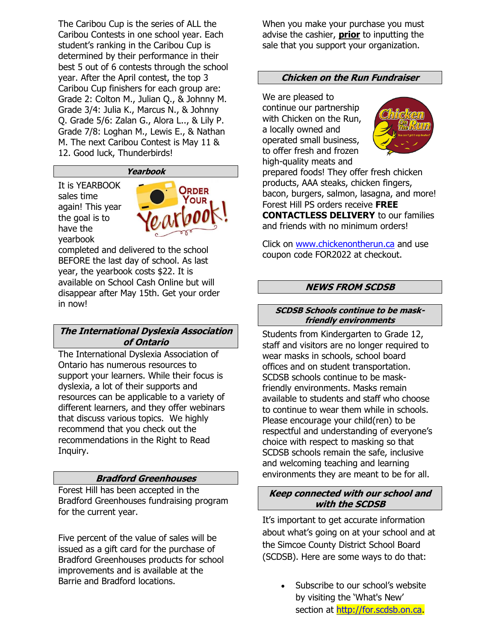The Caribou Cup is the series of ALL the Caribou Contests in one school year. Each student's ranking in the Caribou Cup is determined by their performance in their best 5 out of 6 contests through the school year. After the April contest, the top 3 Caribou Cup finishers for each group are: Grade 2: Colton M., Julian Q., & Johnny M. Grade 3/4: Julia K., Marcus N., & Johnny Q. Grade 5/6: Zalan G., Alora L.., & Lily P. Grade 7/8: Loghan M., Lewis E., & Nathan M. The next Caribou Contest is May 11 & 12. Good luck, Thunderbirds!

#### **Yearbook**

It is YEARBOOK sales time again! This year the goal is to have the yearbook



completed and delivered to the school BEFORE the last day of school. As last year, the yearbook costs \$22. It is available on School Cash Online but will disappear after May 15th. Get your order in now!

# **The International Dyslexia Association of Ontario**

The International Dyslexia Association of Ontario has numerous resources to support your learners. While their focus is dyslexia, a lot of their supports and resources can be applicable to a variety of different learners, and they offer webinars that discuss various topics. We highly recommend that you check out the recommendations in the Right to Read Inquiry.

## **Bradford Greenhouses**

Forest Hill has been accepted in the Bradford Greenhouses fundraising program for the current year.

Five percent of the value of sales will be issued as a gift card for the purchase of Bradford Greenhouses products for school improvements and is available at the Barrie and Bradford locations.

When you make your purchase you must advise the cashier, **prior** to inputting the sale that you support your organization.

#### **Chicken on the Run Fundraiser**

We are pleased to continue our partnership with Chicken on the Run, a locally owned and operated small business, to offer fresh and frozen high-quality meats and



prepared foods! They offer fresh chicken products, AAA steaks, chicken fingers, bacon, burgers, salmon, lasagna, and more! Forest Hill PS orders receive **FREE CONTACTLESS DELIVERY** to our families and friends with no minimum orders!

Click on [www.chickenontherun.ca](http://www.chickenontherun.ca/) and use coupon code FOR2022 at checkout.

#### **NEWS FROM SCDSB**

#### **SCDSB Schools continue to be maskfriendly environments**

Students from Kindergarten to Grade 12, staff and visitors are no longer required to wear masks in schools, school board offices and on student transportation. SCDSB schools continue to be maskfriendly environments. Masks remain available to students and staff who choose to continue to wear them while in schools. Please encourage your child(ren) to be respectful and understanding of everyone's choice with respect to masking so that SCDSB schools remain the safe, inclusive and welcoming teaching and learning environments they are meant to be for all.

#### **Keep connected with our school and with the SCDSB**

It's important to get accurate information about what's going on at your school and at the Simcoe County District School Board (SCDSB). Here are some ways to do that:

> • Subscribe to our school's website by visiting the 'What's New' section at [http://for.scdsb.on.ca.](http://for.scdsb.on.ca/)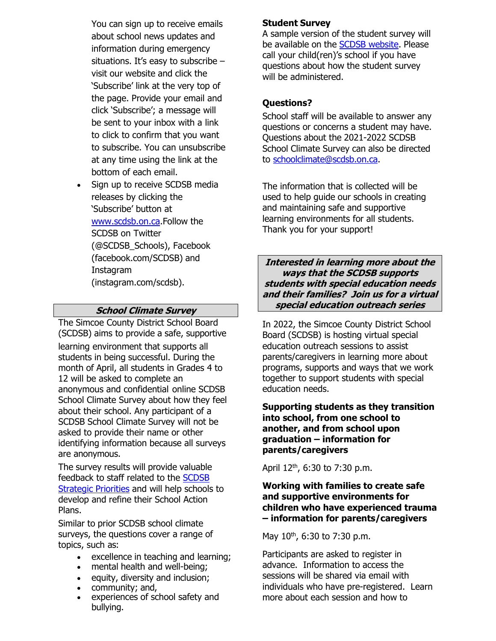You can sign up to receive emails about school news updates and information during emergency situations. It's easy to subscribe – visit our website and click the 'Subscribe' link at the very top of the page. Provide your email and click 'Subscribe'; a message will be sent to your inbox with a link to click to confirm that you want to subscribe. You can unsubscribe at any time using the link at the bottom of each email.

• Sign up to receive SCDSB media releases by clicking the 'Subscribe' button at [www.scdsb.on.ca.F](http://www.scdsb.on.ca/)ollow the SCDSB on Twitter (@SCDSB\_Schools), Facebook (facebook.com/SCDSB) and Instagram (instagram.com/scdsb).

# **School Climate Survey**

The Simcoe County District School Board (SCDSB) aims to provide a safe, supportive

learning environment that supports all students in being successful. During the month of April, all students in Grades 4 to 12 will be asked to complete an anonymous and confidential online SCDSB School Climate Survey about how they feel about their school. Any participant of a SCDSB School Climate Survey will not be asked to provide their name or other identifying information because all surveys are anonymous.

The survey results will provide valuable feedback to staff related to the [SCDSB](https://www.scdsb.on.ca/about/goals_reporting/strategic_priorities) [Strategic](https://www.scdsb.on.ca/about/goals_reporting/strategic_priorities) Priorities and will help schools to develop and refine their School Action Plans.

Similar to prior SCDSB school climate surveys, the questions cover a range of topics, such as:

- excellence in teaching and learning;
- mental health and well-being;
- equity, diversity and inclusion;
- community; and,
- experiences of school safety and bullying.

## **Student Survey**

A sample version of the student survey will be available on the SCDSB [website.](http://www.scdsb.on.ca/) Please call your child(ren)'s school if you have questions about how the student survey will be administered.

# **Questions?**

School staff will be available to answer any questions or concerns a student may have. Questions about the 2021-2022 SCDSB School Climate Survey can also be directed to [schoolclimate@scdsb.on.ca.](mailto:schoolclimate@scdsb.on.ca)

The information that is collected will be used to help guide our schools in creating and maintaining safe and supportive learning environments for all students. Thank you for your support!

**Interested in learning more about the ways that the SCDSB supports students with special education needs and their families? Join us for a virtual special education outreach series**

In 2022, the Simcoe County District School Board (SCDSB) is hosting virtual special education outreach sessions to assist parents/caregivers in learning more about programs, supports and ways that we work together to support students with special education needs.

**Supporting students as they transition into school, from one school to another, and from school upon graduation – information for parents/caregivers**

April  $12^{th}$ , 6:30 to 7:30 p.m.

## **Working with families to create safe and supportive environments for children who have experienced trauma – information for parents/caregivers**

May 10<sup>th</sup>, 6:30 to 7:30 p.m.

Participants are asked to register in advance. Information to access the sessions will be shared via email with individuals who have pre-registered. Learn more about each session and how to